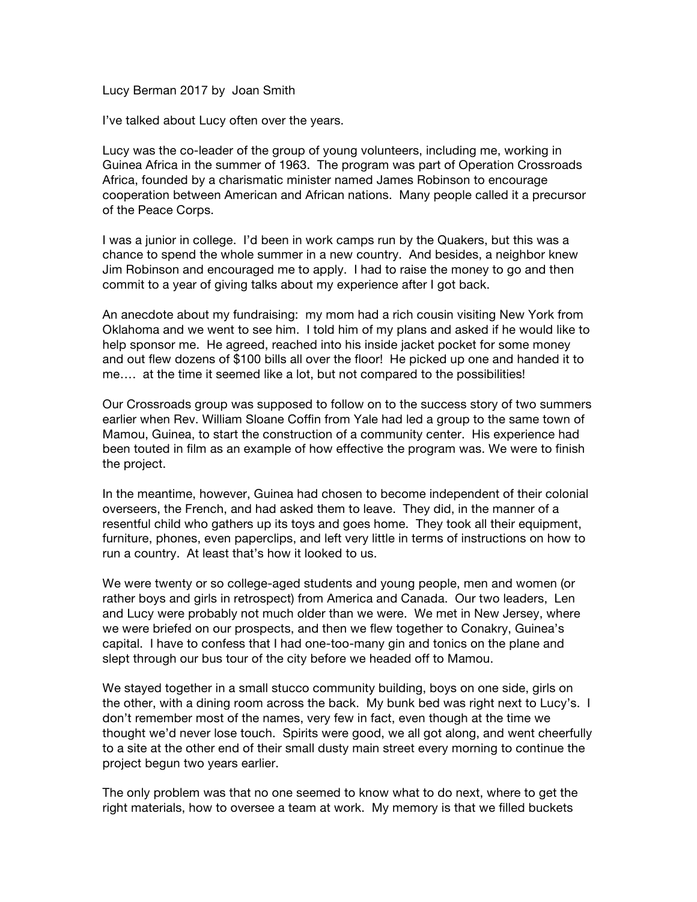Lucy Berman 2017 by Joan Smith

I've talked about Lucy often over the years.

Lucy was the co-leader of the group of young volunteers, including me, working in Guinea Africa in the summer of 1963. The program was part of Operation Crossroads Africa, founded by a charismatic minister named James Robinson to encourage cooperation between American and African nations. Many people called it a precursor of the Peace Corps.

I was a junior in college. I'd been in work camps run by the Quakers, but this was a chance to spend the whole summer in a new country. And besides, a neighbor knew Jim Robinson and encouraged me to apply. I had to raise the money to go and then commit to a year of giving talks about my experience after I got back.

An anecdote about my fundraising: my mom had a rich cousin visiting New York from Oklahoma and we went to see him. I told him of my plans and asked if he would like to help sponsor me. He agreed, reached into his inside jacket pocket for some money and out flew dozens of \$100 bills all over the floor! He picked up one and handed it to me…. at the time it seemed like a lot, but not compared to the possibilities!

Our Crossroads group was supposed to follow on to the success story of two summers earlier when Rev. William Sloane Coffin from Yale had led a group to the same town of Mamou, Guinea, to start the construction of a community center. His experience had been touted in film as an example of how effective the program was. We were to finish the project.

In the meantime, however, Guinea had chosen to become independent of their colonial overseers, the French, and had asked them to leave. They did, in the manner of a resentful child who gathers up its toys and goes home. They took all their equipment, furniture, phones, even paperclips, and left very little in terms of instructions on how to run a country. At least that's how it looked to us.

We were twenty or so college-aged students and young people, men and women (or rather boys and girls in retrospect) from America and Canada. Our two leaders, Len and Lucy were probably not much older than we were. We met in New Jersey, where we were briefed on our prospects, and then we flew together to Conakry, Guinea's capital. I have to confess that I had one-too-many gin and tonics on the plane and slept through our bus tour of the city before we headed off to Mamou.

We stayed together in a small stucco community building, boys on one side, girls on the other, with a dining room across the back. My bunk bed was right next to Lucy's. I don't remember most of the names, very few in fact, even though at the time we thought we'd never lose touch. Spirits were good, we all got along, and went cheerfully to a site at the other end of their small dusty main street every morning to continue the project begun two years earlier.

The only problem was that no one seemed to know what to do next, where to get the right materials, how to oversee a team at work. My memory is that we filled buckets